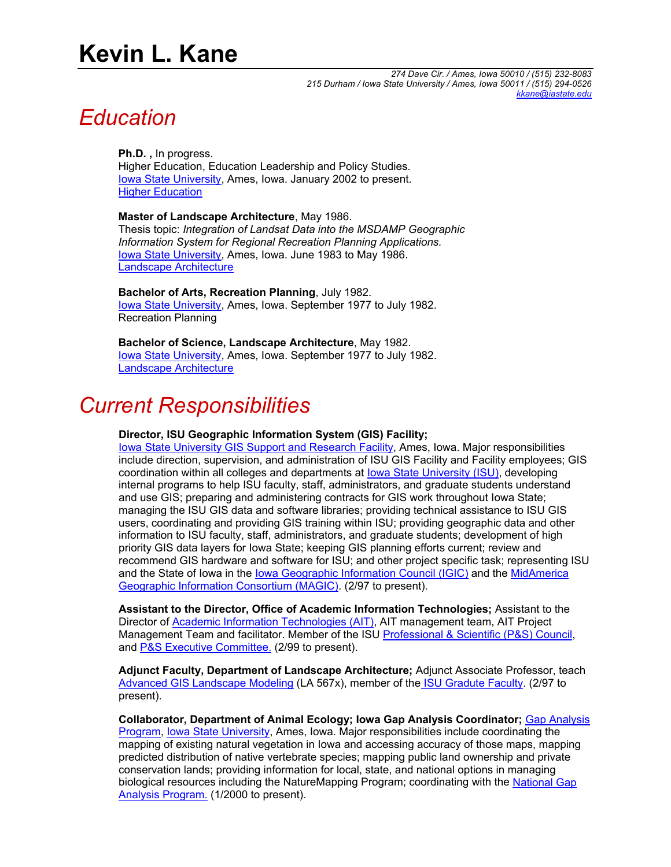# **Kevin L. Kane**

*274 Dave Cir. / Ames, Iowa 50010 / (515) 232-8083 215 Durham / Iowa State University / Ames, Iowa 50011 / (515) 294-0526 [kkane@iastate.edu](mailto:kkane@iastate.edu)*

## *Education*

**Ph.D. ,** In progress. Higher Education, Education Leadership and Policy Studies*.* [Iowa State University,](http://www.iastate.edu/) Ames, Iowa. January 2002 to present. [Higher Education](http://www.educ.iastate.edu/elps/hged/)

**Master of Landscape Architecture**, May 1986. Thesis topic: *Integration of Landsat Data into the MSDAMP Geographic Information System for Regional Recreation Planning Applications.*  [Iowa State University,](http://www.iastate.edu/) Ames, Iowa. June 1983 to May 1986. [Landscape Architecture](http://www.public.iastate.edu/~land_arch/)

**Bachelor of Arts, Recreation Planning**, July 1982. lowa State University, Ames, Iowa. September 1977 to July 1982. Recreation Planning

**Bachelor of Science, Landscape Architecture**, May 1982. [Iowa State University,](http://www.iastate.edu/) Ames, Iowa. September 1977 to July 1982. [Landscape Architecture](http://www.public.iastate.edu/~land_arch/)

## *Current Responsibilities*

### **Director, ISU Geographic Information System (GIS) Facility;**

[Iowa State University GIS Support and Research Facility,](http://www.gis.iastate.edu/) Ames, Iowa. Major responsibilities include direction, supervision, and administration of ISU GIS Facility and Facility employees; GIS coordination within all colleges and departments at lowa State University (ISU), developing internal programs to help ISU faculty, staff, administrators, and graduate students understand and use GIS; preparing and administering contracts for GIS work throughout Iowa State; managing the ISU GIS data and software libraries; providing technical assistance to ISU GIS users, coordinating and providing GIS training within ISU; providing geographic data and other information to ISU faculty, staff, administrators, and graduate students; development of high priority GIS data layers for Iowa State; keeping GIS planning efforts current; review and recommend GIS hardware and software for ISU; and other project specific task; representing ISU and the State of Iowa in the [Iowa Geographic Information Council \(IGIC\)](http://www.gis.state.ia.us/) and the [MidAmerica](http://msdis.missouri.edu/magic/)  [Geographic Information Consortium \(MAGIC\)](http://msdis.missouri.edu/magic/). (2/97 to present).

**Assistant to the Director, Office of Academic Information Technologies;** Assistant to the Director of [Academic Information Technologies \(AIT\)](http://www.ait.iastate.edu/staff/structure.html), AIT management team, AIT Project Management Team and facilitator. Member of the ISU [Professional & Scientific \(P&S\) Council](http://www.public.iastate.edu/%7Eps_info/), and [P&S Executive Committee.](http://www.public.iastate.edu/%7Eps_info/Profiles/ProfileKevinKane.htm) (2/99 to present).

**Adjunct Faculty, Department of Landscape Architecture;** Adjunct Associate Professor, teach [Advanced GIS Landscape Modeling](http://www.public.iastate.edu/%7Efridolph/la567x.html) (LA 567x), member of th[e ISU Gradute Faculty](http://www.grad-college.iastate.edu/). (2/97 to present).

**Collaborator, Department of Animal Ecology; Iowa Gap Analysis Coordinator;** [Gap Analysis](http://www.iowagap.iastate.edu/)  [Program,](http://www.iowagap.iastate.edu/) [Iowa State University](http://www.iastate.edu/), Ames, Iowa. Major responsibilities include coordinating the mapping of existing natural vegetation in Iowa and accessing accuracy of those maps, mapping predicted distribution of native vertebrate species; mapping public land ownership and private conservation lands; providing information for local, state, and national options in managing biological resources including the NatureMapping Program; coordinating with the [National Gap](http://www.gap.uidaho.edu/gap/)  [Analysis Program.](http://www.gap.uidaho.edu/gap/) (1/2000 to present).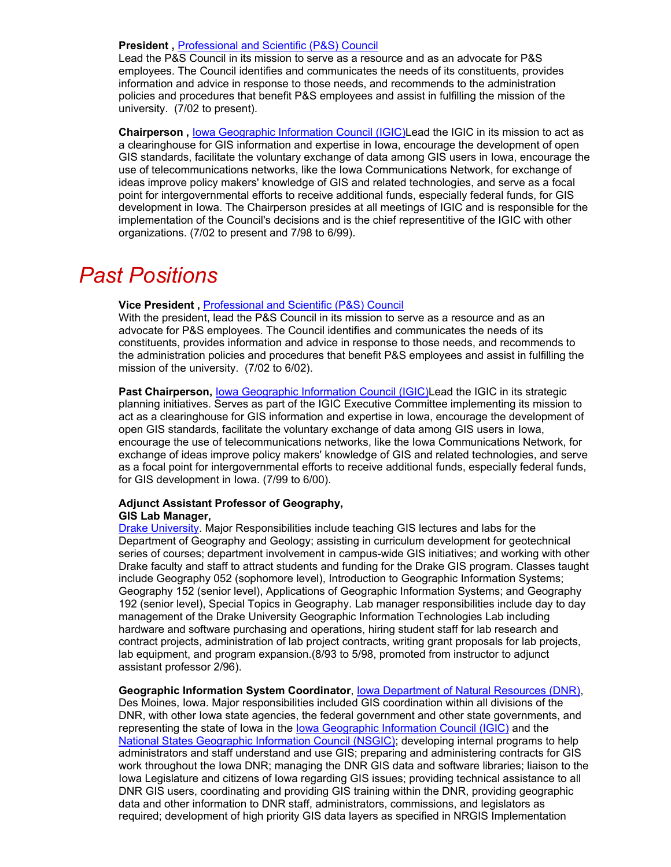### **President ,** [Professional and Scientific \(P&S\) Council](http://www.public.iastate.edu/~ps_info/)

Lead the P&S Council in its mission to serve as a resource and as an advocate for P&S employees. The Council identifies and communicates the needs of its constituents, provides information and advice in response to those needs, and recommends to the administration policies and procedures that benefit P&S employees and assist in fulfilling the mission of the university. (7/02 to present).

**Chairperson ,** [Iowa Geographic Information Council \(IGIC\)](http://igic.gis.iastate.edu/)Lead the IGIC in its mission to act as a clearinghouse for GIS information and expertise in Iowa, encourage the development of open GIS standards, facilitate the voluntary exchange of data among GIS users in Iowa, encourage the use of telecommunications networks, like the Iowa Communications Network, for exchange of ideas improve policy makers' knowledge of GIS and related technologies, and serve as a focal point for intergovernmental efforts to receive additional funds, especially federal funds, for GIS development in Iowa. The Chairperson presides at all meetings of IGIC and is responsible for the implementation of the Council's decisions and is the chief representitive of the IGIC with other organizations. (7/02 to present and 7/98 to 6/99).

## *Past Positions*

### **Vice President ,** [Professional and Scientific \(P&S\) Council](http://www.public.iastate.edu/~ps_info/)

With the president, lead the P&S Council in its mission to serve as a resource and as an advocate for P&S employees. The Council identifies and communicates the needs of its constituents, provides information and advice in response to those needs, and recommends to the administration policies and procedures that benefit P&S employees and assist in fulfilling the mission of the university. (7/02 to 6/02).

Past Chairperson, [Iowa Geographic Information Council \(IGIC\)](http://igic.gis.iastate.edu/)Lead the IGIC in its strategic planning initiatives. Serves as part of the IGIC Executive Committee implementing its mission to act as a clearinghouse for GIS information and expertise in Iowa, encourage the development of open GIS standards, facilitate the voluntary exchange of data among GIS users in Iowa, encourage the use of telecommunications networks, like the Iowa Communications Network, for exchange of ideas improve policy makers' knowledge of GIS and related technologies, and serve as a focal point for intergovernmental efforts to receive additional funds, especially federal funds, for GIS development in Iowa. (7/99 to 6/00).

### **Adjunct Assistant Professor of Geography, GIS Lab Manager,**

[Drake University.](http://www.geo.drake.edu/) Major Responsibilities include teaching GIS lectures and labs for the Department of Geography and Geology; assisting in curriculum development for geotechnical series of courses; department involvement in campus-wide GIS initiatives; and working with other Drake faculty and staff to attract students and funding for the Drake GIS program. Classes taught include Geography 052 (sophomore level), Introduction to Geographic Information Systems; Geography 152 (senior level), Applications of Geographic Information Systems; and Geography 192 (senior level), Special Topics in Geography. Lab manager responsibilities include day to day management of the Drake University Geographic Information Technologies Lab including hardware and software purchasing and operations, hiring student staff for lab research and contract projects, administration of lab project contracts, writing grant proposals for lab projects, lab equipment, and program expansion.(8/93 to 5/98, promoted from instructor to adjunct assistant professor 2/96).

**Geographic Information System Coordinator**, [Iowa Department of Natural Resources \(DNR\),](http://www.igsb.uiowa.edu/) Des Moines, Iowa. Major responsibilities included GIS coordination within all divisions of the DNR, with other Iowa state agencies, the federal government and other state governments, and representing the state of Iowa in the [Iowa Geographic Information Council \(IGIC\)](http://igic.gis.iastate.edu/) and the [National States Geographic Information Council \(NSGIC\);](http://www.nsgic.org/) developing internal programs to help administrators and staff understand and use GIS; preparing and administering contracts for GIS work throughout the Iowa DNR; managing the DNR GIS data and software libraries; liaison to the Iowa Legislature and citizens of Iowa regarding GIS issues; providing technical assistance to all DNR GIS users, coordinating and providing GIS training within the DNR, providing geographic data and other information to DNR staff, administrators, commissions, and legislators as required; development of high priority GIS data layers as specified in NRGIS Implementation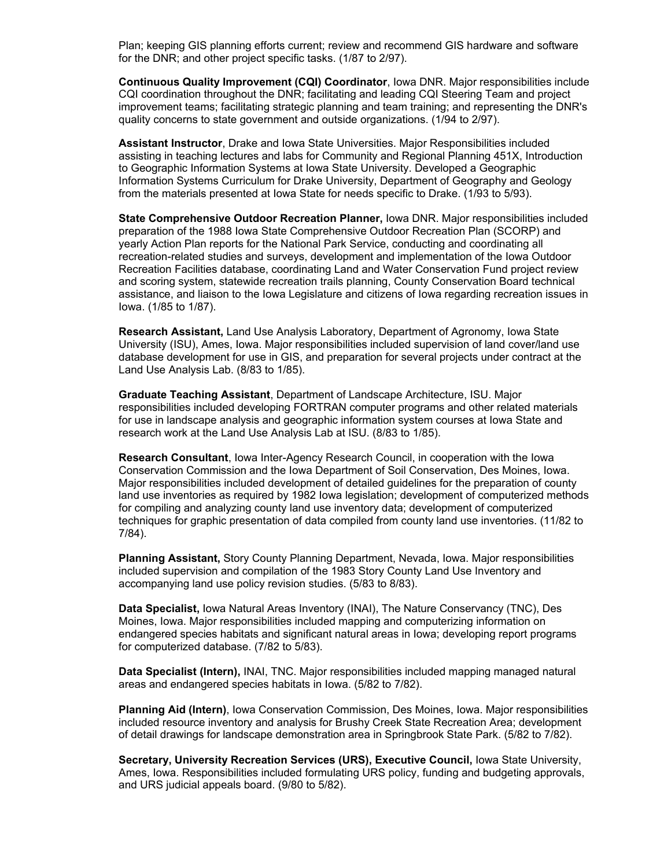Plan; keeping GIS planning efforts current; review and recommend GIS hardware and software for the DNR; and other project specific tasks. (1/87 to 2/97).

**Continuous Quality Improvement (CQI) Coordinator**, Iowa DNR. Major responsibilities include CQI coordination throughout the DNR; facilitating and leading CQI Steering Team and project improvement teams; facilitating strategic planning and team training; and representing the DNR's quality concerns to state government and outside organizations. (1/94 to 2/97).

**Assistant Instructor**, Drake and Iowa State Universities. Major Responsibilities included assisting in teaching lectures and labs for Community and Regional Planning 451X, Introduction to Geographic Information Systems at Iowa State University. Developed a Geographic Information Systems Curriculum for Drake University, Department of Geography and Geology from the materials presented at Iowa State for needs specific to Drake. (1/93 to 5/93).

**State Comprehensive Outdoor Recreation Planner,** Iowa DNR. Major responsibilities included preparation of the 1988 Iowa State Comprehensive Outdoor Recreation Plan (SCORP) and yearly Action Plan reports for the National Park Service, conducting and coordinating all recreation-related studies and surveys, development and implementation of the Iowa Outdoor Recreation Facilities database, coordinating Land and Water Conservation Fund project review and scoring system, statewide recreation trails planning, County Conservation Board technical assistance, and liaison to the Iowa Legislature and citizens of Iowa regarding recreation issues in Iowa. (1/85 to 1/87).

**Research Assistant,** Land Use Analysis Laboratory, Department of Agronomy, Iowa State University (ISU), Ames, Iowa. Major responsibilities included supervision of land cover/land use database development for use in GIS, and preparation for several projects under contract at the Land Use Analysis Lab. (8/83 to 1/85).

**Graduate Teaching Assistant**, Department of Landscape Architecture, ISU. Major responsibilities included developing FORTRAN computer programs and other related materials for use in landscape analysis and geographic information system courses at Iowa State and research work at the Land Use Analysis Lab at ISU. (8/83 to 1/85).

**Research Consultant**, Iowa Inter-Agency Research Council, in cooperation with the Iowa Conservation Commission and the Iowa Department of Soil Conservation, Des Moines, Iowa. Major responsibilities included development of detailed guidelines for the preparation of county land use inventories as required by 1982 Iowa legislation; development of computerized methods for compiling and analyzing county land use inventory data; development of computerized techniques for graphic presentation of data compiled from county land use inventories. (11/82 to 7/84).

**Planning Assistant,** Story County Planning Department, Nevada, Iowa. Major responsibilities included supervision and compilation of the 1983 Story County Land Use Inventory and accompanying land use policy revision studies. (5/83 to 8/83).

**Data Specialist,** Iowa Natural Areas Inventory (INAI), The Nature Conservancy (TNC), Des Moines, Iowa. Major responsibilities included mapping and computerizing information on endangered species habitats and significant natural areas in Iowa; developing report programs for computerized database. (7/82 to 5/83).

**Data Specialist (Intern),** INAI, TNC. Major responsibilities included mapping managed natural areas and endangered species habitats in Iowa. (5/82 to 7/82).

**Planning Aid (Intern)**, Iowa Conservation Commission, Des Moines, Iowa. Major responsibilities included resource inventory and analysis for Brushy Creek State Recreation Area; development of detail drawings for landscape demonstration area in Springbrook State Park. (5/82 to 7/82).

**Secretary, University Recreation Services (URS), Executive Council,** Iowa State University, Ames, Iowa. Responsibilities included formulating URS policy, funding and budgeting approvals, and URS judicial appeals board. (9/80 to 5/82).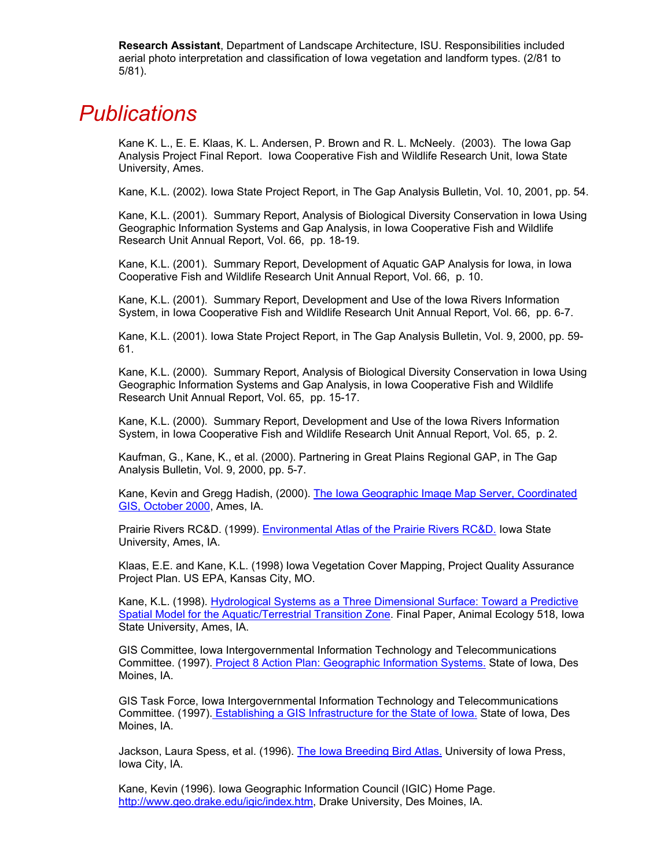**Research Assistant**, Department of Landscape Architecture, ISU. Responsibilities included aerial photo interpretation and classification of Iowa vegetation and landform types. (2/81 to 5/81).

## *Publications*

Kane K. L., E. E. Klaas, K. L. Andersen, P. Brown and R. L. McNeely. (2003). The Iowa Gap Analysis Project Final Report. Iowa Cooperative Fish and Wildlife Research Unit, Iowa State University, Ames.

Kane, K.L. (2002). Iowa State Project Report, in The Gap Analysis Bulletin, Vol. 10, 2001, pp. 54.

Kane, K.L. (2001). Summary Report, Analysis of Biological Diversity Conservation in Iowa Using Geographic Information Systems and Gap Analysis, in Iowa Cooperative Fish and Wildlife Research Unit Annual Report, Vol. 66, pp. 18-19.

Kane, K.L. (2001). Summary Report, Development of Aquatic GAP Analysis for Iowa, in Iowa Cooperative Fish and Wildlife Research Unit Annual Report, Vol. 66, p. 10.

Kane, K.L. (2001). Summary Report, Development and Use of the Iowa Rivers Information System, in Iowa Cooperative Fish and Wildlife Research Unit Annual Report, Vol. 66, pp. 6-7.

Kane, K.L. (2001). Iowa State Project Report, in The Gap Analysis Bulletin, Vol. 9, 2000, pp. 59- 61.

Kane, K.L. (2000). Summary Report, Analysis of Biological Diversity Conservation in Iowa Using Geographic Information Systems and Gap Analysis, in Iowa Cooperative Fish and Wildlife Research Unit Annual Report, Vol. 65, pp. 15-17.

Kane, K.L. (2000). Summary Report, Development and Use of the Iowa Rivers Information System, in Iowa Cooperative Fish and Wildlife Research Unit Annual Report, Vol. 65, p. 2.

Kaufman, G., Kane, K., et al. (2000). Partnering in Great Plains Regional GAP, in The Gap Analysis Bulletin, Vol. 9, 2000, pp. 5-7.

Kane, Kevin and Gregg Hadish, (2000). [The Iowa Geographic Image Map Server, Coordinated](http://igic.gis.iastate.edu/igic/otherdocs/fall2000news.htm)  [GIS, October 2000,](http://igic.gis.iastate.edu/igic/otherdocs/fall2000news.htm) Ames, IA.

Prairie Rivers RC&D. (1999). [Environmental Atlas of the Prairie Rivers RC&D.](http://www.gis.iastate.edu/rcd/atlas/atlas.html) Iowa State University, Ames, IA.

Klaas, E.E. and Kane, K.L. (1998) Iowa Vegetation Cover Mapping, Project Quality Assurance Project Plan. US EPA, Kansas City, MO.

Kane, K.L. (1998). Hydrological Systems as a Three Dimensional Surface: Toward a Predictive [Spatial Model for the Aquatic/Terrestrial Transition Zone](http://mombasa.gis.iastate.edu/Present/final/index.htm). Final Paper, Animal Ecology 518, Iowa State University, Ames, IA.

GIS Committee, Iowa Intergovernmental Information Technology and Telecommunications Committee. (1997)[. Project 8 Action Plan: Geographic Information Systems.](http://www.state.ia.us/government/iitt/iowaccess/proj8.htm) State of Iowa, Des Moines, IA.

GIS Task Force, Iowa Intergovernmental Information Technology and Telecommunications Committee. (1997)[. Establishing a GIS Infrastructure for the State of Iowa.](http://www.state.ia.us/government/iitt/fullreport/gisfinal.htm) State of Iowa, Des Moines, IA.

Jackson, Laura Spess, et al. (1996). [The Iowa Breeding Bird Atlas.](http://www.uiowa.edu/~uipress/jaciowbir.htm) University of Iowa Press, Iowa City, IA.

Kane, Kevin (1996). Iowa Geographic Information Council (IGIC) Home Page. [http://www.geo.drake.edu/igic/index.htm,](http://www.geo.drake.edu/igic/index.htm) Drake University, Des Moines, IA.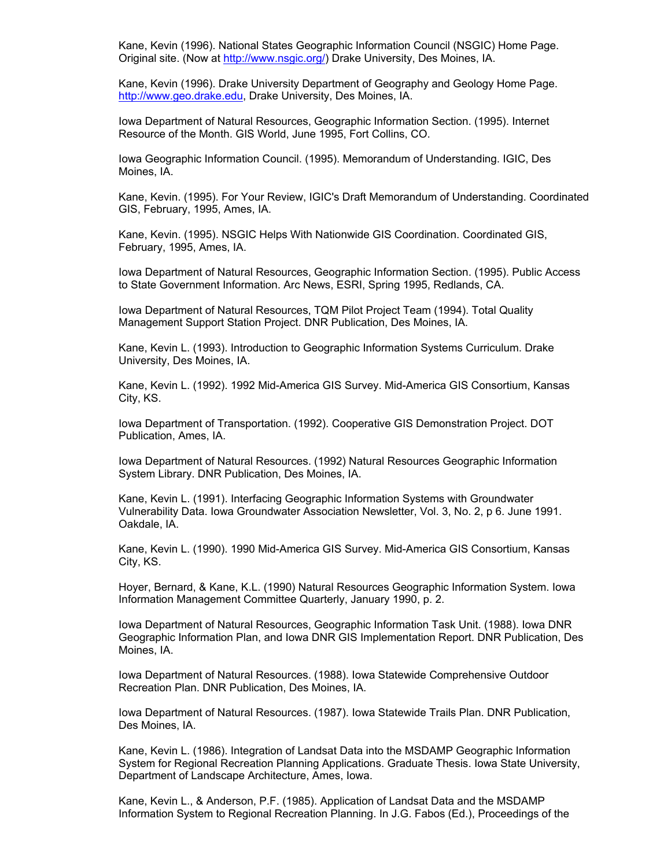Kane, Kevin (1996). National States Geographic Information Council (NSGIC) Home Page. Original site. (Now at [http://www.nsgic.org/\)](http://www.nsgic.org/) Drake University, Des Moines, IA.

Kane, Kevin (1996). Drake University Department of Geography and Geology Home Page. [http://www.geo.drake.edu,](http://www.geo.drake.edu/) Drake University, Des Moines, IA.

Iowa Department of Natural Resources, Geographic Information Section. (1995). Internet Resource of the Month. GIS World, June 1995, Fort Collins, CO.

Iowa Geographic Information Council. (1995). Memorandum of Understanding. IGIC, Des Moines, IA.

Kane, Kevin. (1995). For Your Review, IGIC's Draft Memorandum of Understanding. Coordinated GIS, February, 1995, Ames, IA.

Kane, Kevin. (1995). NSGIC Helps With Nationwide GIS Coordination. Coordinated GIS, February, 1995, Ames, IA.

Iowa Department of Natural Resources, Geographic Information Section. (1995). Public Access to State Government Information. Arc News, ESRI, Spring 1995, Redlands, CA.

Iowa Department of Natural Resources, TQM Pilot Project Team (1994). Total Quality Management Support Station Project. DNR Publication, Des Moines, IA.

Kane, Kevin L. (1993). Introduction to Geographic Information Systems Curriculum. Drake University, Des Moines, IA.

Kane, Kevin L. (1992). 1992 Mid-America GIS Survey. Mid-America GIS Consortium, Kansas City, KS.

Iowa Department of Transportation. (1992). Cooperative GIS Demonstration Project. DOT Publication, Ames, IA.

Iowa Department of Natural Resources. (1992) Natural Resources Geographic Information System Library. DNR Publication, Des Moines, IA.

Kane, Kevin L. (1991). Interfacing Geographic Information Systems with Groundwater Vulnerability Data. Iowa Groundwater Association Newsletter, Vol. 3, No. 2, p 6. June 1991. Oakdale, IA.

Kane, Kevin L. (1990). 1990 Mid-America GIS Survey. Mid-America GIS Consortium, Kansas City, KS.

Hoyer, Bernard, & Kane, K.L. (1990) Natural Resources Geographic Information System. Iowa Information Management Committee Quarterly, January 1990, p. 2.

Iowa Department of Natural Resources, Geographic Information Task Unit. (1988). Iowa DNR Geographic Information Plan, and Iowa DNR GIS Implementation Report. DNR Publication, Des Moines, IA.

Iowa Department of Natural Resources. (1988). Iowa Statewide Comprehensive Outdoor Recreation Plan. DNR Publication, Des Moines, IA.

Iowa Department of Natural Resources. (1987). Iowa Statewide Trails Plan. DNR Publication, Des Moines, IA.

Kane, Kevin L. (1986). Integration of Landsat Data into the MSDAMP Geographic Information System for Regional Recreation Planning Applications. Graduate Thesis. Iowa State University, Department of Landscape Architecture, Ames, Iowa.

Kane, Kevin L., & Anderson, P.F. (1985). Application of Landsat Data and the MSDAMP Information System to Regional Recreation Planning. In J.G. Fabos (Ed.), Proceedings of the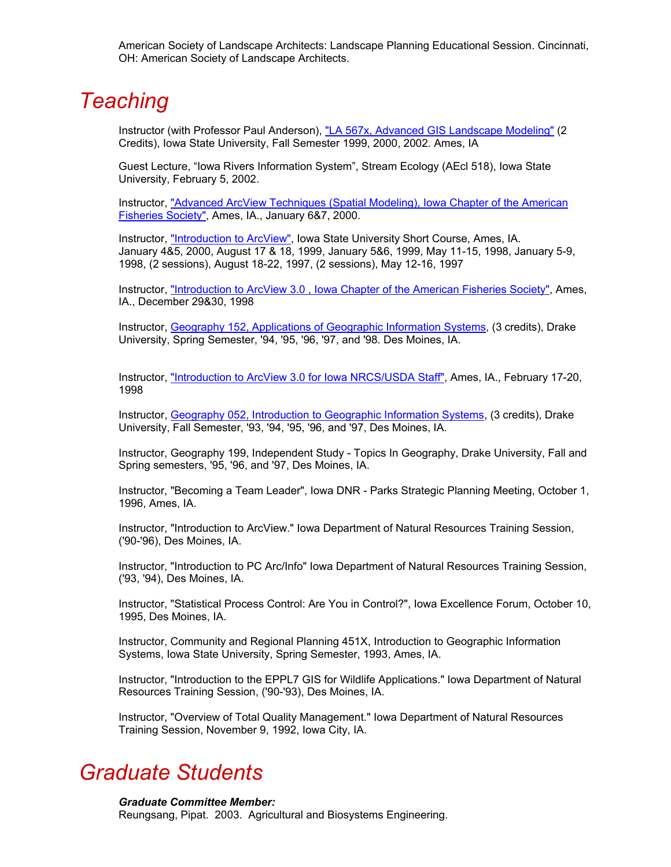American Society of Landscape Architects: Landscape Planning Educational Session. Cincinnati, OH: American Society of Landscape Architects.

## *Teaching*

Instructor (with Professor Paul Anderson), ["LA 567x, Advanced GIS Landscape Modeling"](http://www.public.iastate.edu/~fridolph/la590K.html) (2 Credits), Iowa State University, Fall Semester 1999, 2000, 2002. Ames, IA

Guest Lecture, "Iowa Rivers Information System", Stream Ecology (AEcl 518), Iowa State University, February 5, 2002.

Instructor, ["Advanced ArcView Techniques \(Spatial Modeling\), Iowa Chapter of the American](http://mombasa.gis.iastate.edu/Present/Advanced ArcView/index.htm)  [Fisheries Society"](http://mombasa.gis.iastate.edu/Present/Advanced ArcView/index.htm), Ames, IA., January 6&7, 2000.

Instructor, ["Introduction to ArcView",](http://www.gis.iastate.edu/avtrain/avclass.htm) Iowa State University Short Course, Ames, IA. January 4&5, 2000, August 17 & 18, 1999, January 5&6, 1999, May 11-15, 1998, January 5-9, 1998, (2 sessions), August 18-22, 1997, (2 sessions), May 12-16, 1997

Instructor, ["Introduction to ArcView 3.0 , Iowa Chapter of the American Fisheries Society",](http://www.gis.iastate.edu/avtrain/avclass.htm) Ames, IA., December 29&30, 1998

Instructor, [Geography 152, Applications of Geographic Information Systems,](http://www.geo.drake.edu/) (3 credits), Drake University, Spring Semester, '94, '95, '96, '97, and '98. Des Moines, IA.

Instructor, ["Introduction to ArcView 3.0 for Iowa NRCS/USDA Staff",](http://www.gis.iastate.edu/avtrain/avclass.htm) Ames, IA., February 17-20, 1998

Instructor, [Geography 052, Introduction to Geographic Information Systems,](http://www.geo.drake.edu/) (3 credits), Drake University, Fall Semester, '93, '94, '95, '96, and '97, Des Moines, IA.

Instructor, Geography 199, Independent Study - Topics In Geography, Drake University, Fall and Spring semesters, '95, '96, and '97, Des Moines, IA.

Instructor, "Becoming a Team Leader", Iowa DNR - Parks Strategic Planning Meeting, October 1, 1996, Ames, IA.

Instructor, "Introduction to ArcView." Iowa Department of Natural Resources Training Session, ('90-'96), Des Moines, IA.

Instructor, "Introduction to PC Arc/Info" Iowa Department of Natural Resources Training Session, ('93, '94), Des Moines, IA.

Instructor, "Statistical Process Control: Are You in Control?", Iowa Excellence Forum, October 10, 1995, Des Moines, IA.

Instructor, Community and Regional Planning 451X, Introduction to Geographic Information Systems, Iowa State University, Spring Semester, 1993, Ames, IA.

Instructor, "Introduction to the EPPL7 GIS for Wildlife Applications." Iowa Department of Natural Resources Training Session, ('90-'93), Des Moines, IA.

Instructor, "Overview of Total Quality Management." Iowa Department of Natural Resources Training Session, November 9, 1992, Iowa City, IA.

## *Graduate Students*

*Graduate Committee Member:*

Reungsang, Pipat. 2003. Agricultural and Biosystems Engineering.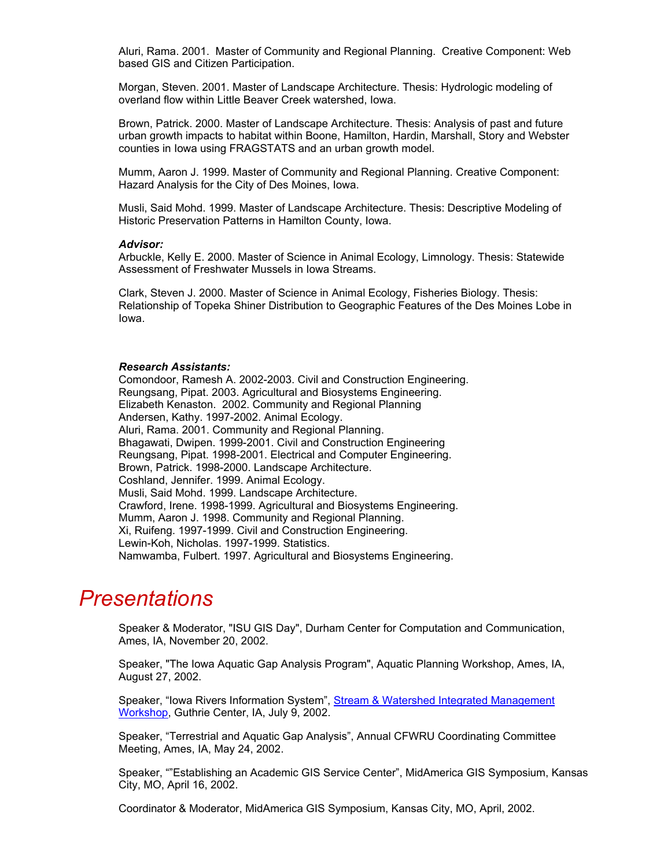Aluri, Rama. 2001. Master of Community and Regional Planning. Creative Component: Web based GIS and Citizen Participation.

Morgan, Steven. 2001. Master of Landscape Architecture. Thesis: Hydrologic modeling of overland flow within Little Beaver Creek watershed, Iowa.

Brown, Patrick. 2000. Master of Landscape Architecture. Thesis: Analysis of past and future urban growth impacts to habitat within Boone, Hamilton, Hardin, Marshall, Story and Webster counties in Iowa using FRAGSTATS and an urban growth model.

Mumm, Aaron J. 1999. Master of Community and Regional Planning. Creative Component: Hazard Analysis for the City of Des Moines, Iowa.

Musli, Said Mohd. 1999. Master of Landscape Architecture. Thesis: Descriptive Modeling of Historic Preservation Patterns in Hamilton County, Iowa.

### *Advisor:*

Arbuckle, Kelly E. 2000. Master of Science in Animal Ecology, Limnology. Thesis: Statewide Assessment of Freshwater Mussels in Iowa Streams.

Clark, Steven J. 2000. Master of Science in Animal Ecology, Fisheries Biology. Thesis: Relationship of Topeka Shiner Distribution to Geographic Features of the Des Moines Lobe in Iowa.

### *Research Assistants:*

Comondoor, Ramesh A. 2002-2003. Civil and Construction Engineering. Reungsang, Pipat. 2003. Agricultural and Biosystems Engineering. Elizabeth Kenaston. 2002. Community and Regional Planning Andersen, Kathy. 1997-2002. Animal Ecology. Aluri, Rama. 2001. Community and Regional Planning. Bhagawati, Dwipen. 1999-2001. Civil and Construction Engineering Reungsang, Pipat. 1998-2001. Electrical and Computer Engineering. Brown, Patrick. 1998-2000. Landscape Architecture. Coshland, Jennifer. 1999. Animal Ecology. Musli, Said Mohd. 1999. Landscape Architecture. Crawford, Irene. 1998-1999. Agricultural and Biosystems Engineering. Mumm, Aaron J. 1998. Community and Regional Planning. Xi, Ruifeng. 1997-1999. Civil and Construction Engineering. Lewin-Koh, Nicholas. 1997-1999. Statistics. Namwamba, Fulbert. 1997. Agricultural and Biosystems Engineering.

### *Presentations*

Speaker & Moderator, "ISU GIS Day", Durham Center for Computation and Communication, Ames, IA, November 20, 2002.

Speaker, "The Iowa Aquatic Gap Analysis Program", Aquatic Planning Workshop, Ames, IA, August 27, 2002.

Speaker, "Iowa Rivers Information System", Stream & Watershed Integrated Management [Workshop](http://www.iowadnr.com/education/resrcpro.html), Guthrie Center, IA, July 9, 2002.

Speaker, "Terrestrial and Aquatic Gap Analysis", Annual CFWRU Coordinating Committee Meeting, Ames, IA, May 24, 2002.

Speaker, ""Establishing an Academic GIS Service Center", MidAmerica GIS Symposium, Kansas City, MO, April 16, 2002.

Coordinator & Moderator, MidAmerica GIS Symposium, Kansas City, MO, April, 2002.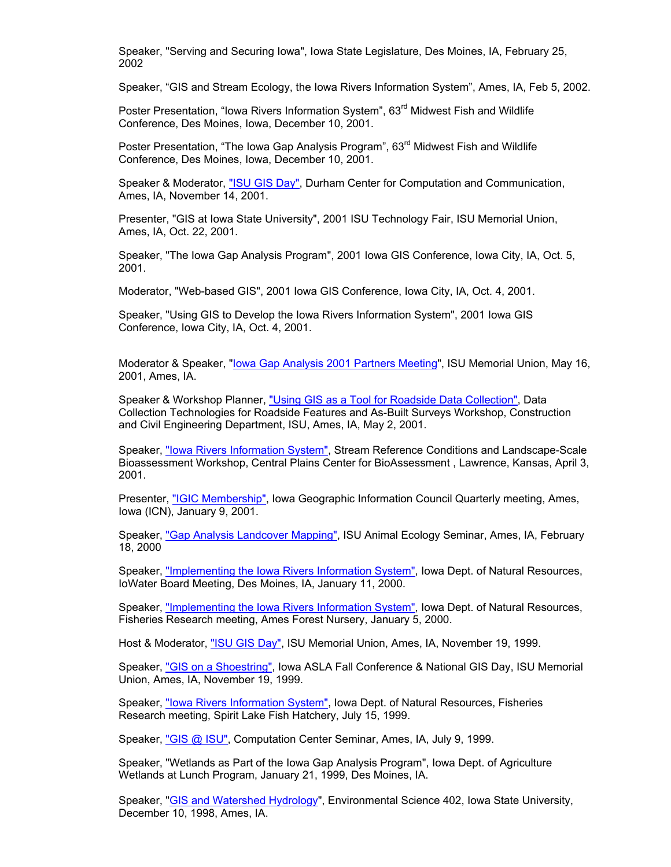Speaker, "Serving and Securing Iowa", Iowa State Legislature, Des Moines, IA, February 25, 2002

Speaker, "GIS and Stream Ecology, the Iowa Rivers Information System", Ames, IA, Feb 5, 2002.

Poster Presentation, "Iowa Rivers Information System", 63<sup>rd</sup> Midwest Fish and Wildlife Conference, Des Moines, Iowa, December 10, 2001.

Poster Presentation, "The Iowa Gap Analysis Program", 63<sup>rd</sup> Midwest Fish and Wildlife Conference, Des Moines, Iowa, December 10, 2001.

Speaker & Moderator, ["ISU GIS Day"](http://www.gis.iastate.edu/gisday.htm), Durham Center for Computation and Communication, Ames, IA, November 14, 2001.

Presenter, "GIS at Iowa State University", 2001 ISU Technology Fair, ISU Memorial Union, Ames, IA, Oct. 22, 2001.

Speaker, "The Iowa Gap Analysis Program", 2001 Iowa GIS Conference, Iowa City, IA, Oct. 5, 2001.

Moderator, "Web-based GIS", 2001 Iowa GIS Conference, Iowa City, IA, Oct. 4, 2001.

Speaker, "Using GIS to Develop the Iowa Rivers Information System", 2001 Iowa GIS Conference, Iowa City, IA, Oct. 4, 2001.

Moderator & Speaker, "<u>[Iowa Gap Analysis 2001 Partners Meeting](http://mombasa.gis.iastate.edu/Present/IaGap97/index.htm)</u>", ISU Memorial Union, May 16, 2001, Ames, IA.

Speaker & Workshop Planner, ["Using GIS as a Tool for Roadside Data Collection"](http://mombasa.gis.iastate.edu/Present/CCESEMI0/index.htm), Data Collection Technologies for Roadside Features and As-Built Surveys Workshop, Construction and Civil Engineering Department, ISU, Ames, IA, May 2, 2001.

Speaker, ["Iowa Rivers Information System"](http://mombasa.gis.iastate.edu/Present/IRIS010403/index.htm), Stream Reference Conditions and Landscape-Scale Bioassessment Workshop, Central Plains Center for BioAssessment , Lawrence, Kansas, April 3, 2001.

Presenter, ["IGIC Membership",](http://mombasa.gis.iastate.edu/igic/members_files/frame.htm) Iowa Geographic Information Council Quarterly meeting, Ames, Iowa (ICN), January 9, 2001.

Speaker, ["Gap Analysis Landcover Mapping",](http://mombasa.gis.iastate.edu/Present/lcsmnar/index.htm) ISU Animal Ecology Seminar, Ames, IA, February 18, 2000

Speaker, ["Implementing the Iowa Rivers Information System",](http://mombasa.gis.iastate.edu/Present/IRIS Plus/index.htm) Iowa Dept. of Natural Resources, IoWater Board Meeting, Des Moines, IA, January 11, 2000.

Speaker, ["Implementing the Iowa Rivers Information System",](http://mombasa.gis.iastate.edu/Present/IRIS Plus/index.htm) Iowa Dept. of Natural Resources, Fisheries Research meeting, Ames Forest Nursery, January 5, 2000.

Host & Moderator, ["ISU GIS Day",](http://www.gis.iastate.edu/gisday.htm) ISU Memorial Union, Ames, IA, November 19, 1999.

Speaker, ["GIS on a Shoestring"](http://mombasa.gis.iastate.edu/Present/Shoestring/index.htm), Iowa ASLA Fall Conference & National GIS Day, ISU Memorial Union, Ames, IA, November 19, 1999.

Speaker, ["Iowa Rivers Information System"](http://mombasa.gis.iastate.edu/Present/IRIS/index.htm), Iowa Dept. of Natural Resources, Fisheries Research meeting, Spirit Lake Fish Hatchery, July 15, 1999.

Speaker, ["GIS @ ISU",](http://mombasa.gis.iastate.edu/Present/CC GIS S/index.htm) Computation Center Seminar, Ames, IA, July 9, 1999.

Speaker, "Wetlands as Part of the Iowa Gap Analysis Program", Iowa Dept. of Agriculture Wetlands at Lunch Program, January 21, 1999, Des Moines, IA.

Speaker, "[GIS and Watershed Hydrology](http://mombasa.gis.iastate.edu/Present/watershed - gis/index.htm)", Environmental Science 402, Iowa State University, December 10, 1998, Ames, IA.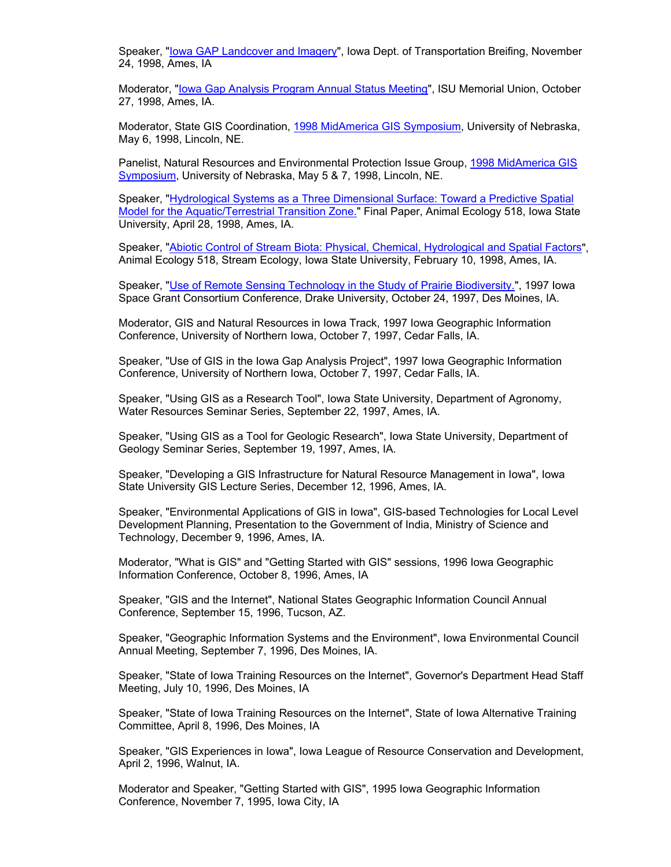Speaker, "[Iowa GAP Landcover and Imagery"](http://mombasa.gis.iastate.edu/Present/lcdot/index.htm), Iowa Dept. of Transportation Breifing, November 24, 1998, Ames, IA

Moderator, ["Iowa Gap Analysis Program Annual Status Meeting](http://mombasa.gis.iastate.edu/Present/IaGap97/index.htm)", ISU Memorial Union, October 27, 1998, Ames, IA.

Moderator, State GIS Coordination, [1998 MidAmerica GIS Symposium,](http://msdis.missouri.edu/magic/) University of Nebraska, May 6, 1998, Lincoln, NE.

Panelist, Natural Resources and Environmental Protection Issue Group, [1998 MidAmerica GIS](http://msdis.missouri.edu/magic/)  [Symposium,](http://msdis.missouri.edu/magic/) University of Nebraska, May 5 & 7, 1998, Lincoln, NE.

Speaker, "[Hydrological Systems as a Three Dimensional Surface: Toward a Predictive Spatial](http://mombasa.gis.iastate.edu/Present/final/index.htm)  [Model for the Aquatic/Terrestrial Transition Zone."](http://mombasa.gis.iastate.edu/Present/final/index.htm) Final Paper, Animal Ecology 518, Iowa State University, April 28, 1998, Ames, IA.

Speaker, "[Abiotic Control of Stream Biota: Physical, Chemical, Hydrological and Spatial Factors](http://mombasa.gis.iastate.edu/Present/stream/index.htm)", Animal Ecology 518, Stream Ecology, Iowa State University, February 10, 1998, Ames, IA.

Speaker, "[Use of Remote Sensing Technology in the Study of Prairie Biodiversity."](http://mombasa.gis.iastate.edu/Present/isgc/index.htm), 1997 Iowa Space Grant Consortium Conference, Drake University, October 24, 1997, Des Moines, IA.

Moderator, GIS and Natural Resources in Iowa Track, 1997 Iowa Geographic Information Conference, University of Northern Iowa, October 7, 1997, Cedar Falls, IA.

Speaker, "Use of GIS in the Iowa Gap Analysis Project", 1997 Iowa Geographic Information Conference, University of Northern Iowa, October 7, 1997, Cedar Falls, IA.

Speaker, "Using GIS as a Research Tool", Iowa State University, Department of Agronomy, Water Resources Seminar Series, September 22, 1997, Ames, IA.

Speaker, "Using GIS as a Tool for Geologic Research", Iowa State University, Department of Geology Seminar Series, September 19, 1997, Ames, IA.

Speaker, "Developing a GIS Infrastructure for Natural Resource Management in Iowa", Iowa State University GIS Lecture Series, December 12, 1996, Ames, IA.

Speaker, "Environmental Applications of GIS in Iowa", GIS-based Technologies for Local Level Development Planning, Presentation to the Government of India, Ministry of Science and Technology, December 9, 1996, Ames, IA.

Moderator, "What is GIS" and "Getting Started with GIS" sessions, 1996 Iowa Geographic Information Conference, October 8, 1996, Ames, IA

Speaker, "GIS and the Internet", National States Geographic Information Council Annual Conference, September 15, 1996, Tucson, AZ.

Speaker, "Geographic Information Systems and the Environment", Iowa Environmental Council Annual Meeting, September 7, 1996, Des Moines, IA.

Speaker, "State of Iowa Training Resources on the Internet", Governor's Department Head Staff Meeting, July 10, 1996, Des Moines, IA

Speaker, "State of Iowa Training Resources on the Internet", State of Iowa Alternative Training Committee, April 8, 1996, Des Moines, IA

Speaker, "GIS Experiences in Iowa", Iowa League of Resource Conservation and Development, April 2, 1996, Walnut, IA.

Moderator and Speaker, "Getting Started with GIS", 1995 Iowa Geographic Information Conference, November 7, 1995, Iowa City, IA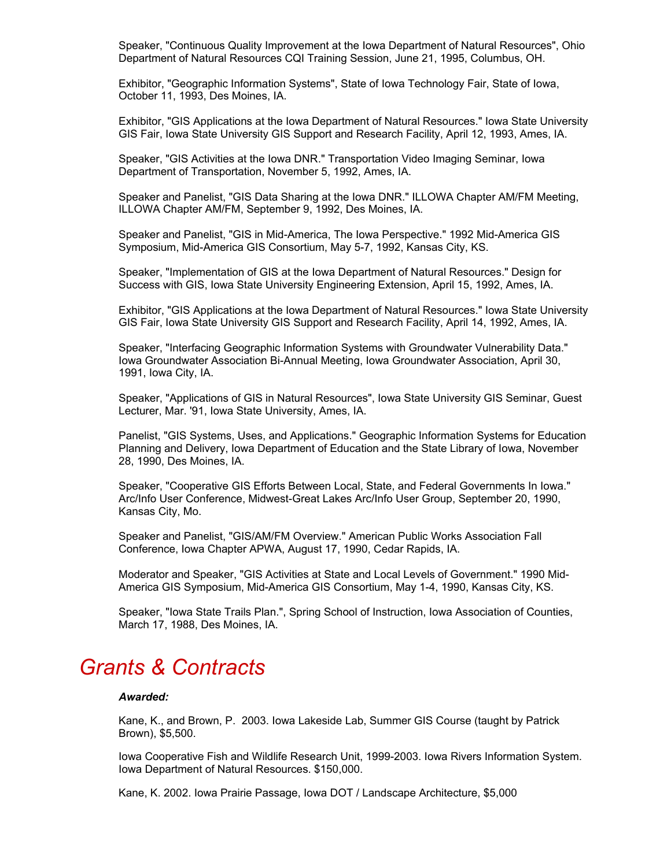Speaker, "Continuous Quality Improvement at the Iowa Department of Natural Resources", Ohio Department of Natural Resources CQI Training Session, June 21, 1995, Columbus, OH.

Exhibitor, "Geographic Information Systems", State of Iowa Technology Fair, State of Iowa, October 11, 1993, Des Moines, IA.

Exhibitor, "GIS Applications at the Iowa Department of Natural Resources." Iowa State University GIS Fair, Iowa State University GIS Support and Research Facility, April 12, 1993, Ames, IA.

Speaker, "GIS Activities at the Iowa DNR." Transportation Video Imaging Seminar, Iowa Department of Transportation, November 5, 1992, Ames, IA.

Speaker and Panelist, "GIS Data Sharing at the Iowa DNR." ILLOWA Chapter AM/FM Meeting, ILLOWA Chapter AM/FM, September 9, 1992, Des Moines, IA.

Speaker and Panelist, "GIS in Mid-America, The Iowa Perspective." 1992 Mid-America GIS Symposium, Mid-America GIS Consortium, May 5-7, 1992, Kansas City, KS.

Speaker, "Implementation of GIS at the Iowa Department of Natural Resources." Design for Success with GIS, Iowa State University Engineering Extension, April 15, 1992, Ames, IA.

Exhibitor, "GIS Applications at the Iowa Department of Natural Resources." Iowa State University GIS Fair, Iowa State University GIS Support and Research Facility, April 14, 1992, Ames, IA.

Speaker, "Interfacing Geographic Information Systems with Groundwater Vulnerability Data." Iowa Groundwater Association Bi-Annual Meeting, Iowa Groundwater Association, April 30, 1991, Iowa City, IA.

Speaker, "Applications of GIS in Natural Resources", Iowa State University GIS Seminar, Guest Lecturer, Mar. '91, Iowa State University, Ames, IA.

Panelist, "GIS Systems, Uses, and Applications." Geographic Information Systems for Education Planning and Delivery, Iowa Department of Education and the State Library of Iowa, November 28, 1990, Des Moines, IA.

Speaker, "Cooperative GIS Efforts Between Local, State, and Federal Governments In Iowa." Arc/Info User Conference, Midwest-Great Lakes Arc/Info User Group, September 20, 1990, Kansas City, Mo.

Speaker and Panelist, "GIS/AM/FM Overview." American Public Works Association Fall Conference, Iowa Chapter APWA, August 17, 1990, Cedar Rapids, IA.

Moderator and Speaker, "GIS Activities at State and Local Levels of Government." 1990 Mid-America GIS Symposium, Mid-America GIS Consortium, May 1-4, 1990, Kansas City, KS.

Speaker, "Iowa State Trails Plan.", Spring School of Instruction, Iowa Association of Counties, March 17, 1988, Des Moines, IA.

## *Grants & Contracts*

### *Awarded:*

Kane, K., and Brown, P. 2003. Iowa Lakeside Lab, Summer GIS Course (taught by Patrick Brown), \$5,500.

Iowa Cooperative Fish and Wildlife Research Unit, 1999-2003. Iowa Rivers Information System. Iowa Department of Natural Resources. \$150,000.

Kane, K. 2002. Iowa Prairie Passage, Iowa DOT / Landscape Architecture, \$5,000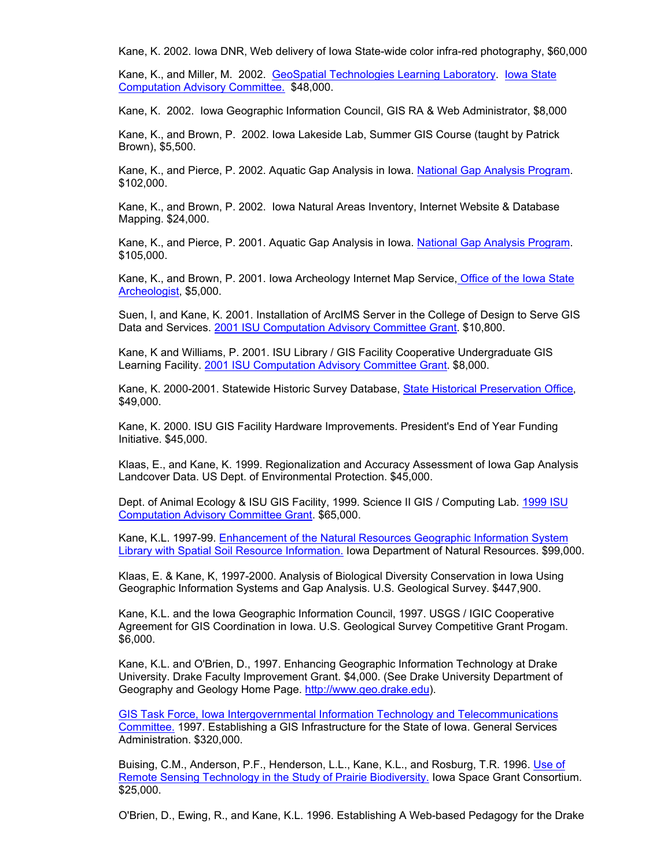Kane, K. 2002. Iowa DNR, Web delivery of Iowa State-wide color infra-red photography, \$60,000

Kane, K., and Miller, M. 2002. [GeoSpatial Technologies Learning Laboratory](http://www.gis.iastate.edu/gttl.htm). lowa State [Computation Advisory Committee.](http://www.public.iastate.edu/~cac_info/) \$48,000.

Kane, K. 2002. Iowa Geographic Information Council, GIS RA & Web Administrator, \$8,000

Kane, K., and Brown, P. 2002. Iowa Lakeside Lab, Summer GIS Course (taught by Patrick Brown), \$5,500.

Kane, K., and Pierce, P. 2002. Aquatic Gap Analysis in Iowa. [National Gap Analysis Program](http://www.gap.uidaho.edu/). \$102,000.

Kane, K., and Brown, P. 2002. Iowa Natural Areas Inventory, Internet Website & Database Mapping. \$24,000.

Kane, K., and Pierce, P. 2001. Aquatic Gap Analysis in Iowa. [National Gap Analysis Program](http://www.gap.uidaho.edu/). \$105,000.

Kane, K., and Brown, P. 2001. Iowa Archeology Internet Map Service[, Office of the Iowa State](http://www.uiowa.edu/%7Eosa/GIS_at_OSA/index1.html)  [Archeologist](http://www.uiowa.edu/%7Eosa/GIS_at_OSA/index1.html), \$5,000.

Suen, I, and Kane, K. 2001. Installation of ArcIMS Server in the College of Design to Serve GIS Data and Services. [2001 ISU Computation Advisory Committee Grant.](http://www.public.iastate.edu/%7Ecac_info/) \$10,800.

Kane, K and Williams, P. 2001. ISU Library / GIS Facility Cooperative Undergraduate GIS Learning Facility. [2001 ISU Computation Advisory Committee Grant.](http://www.public.iastate.edu/%7Ecac_info/) \$8,000.

Kane, K. 2000-2001. Statewide Historic Survey Database, [State Historical Preservation Office](http://www.iowahistory.org/preservation/), \$49,000.

Kane, K. 2000. ISU GIS Facility Hardware Improvements. President's End of Year Funding Initiative. \$45,000.

Klaas, E., and Kane, K. 1999. Regionalization and Accuracy Assessment of Iowa Gap Analysis Landcover Data. US Dept. of Environmental Protection. \$45,000.

Dept. of Animal Ecology & ISU GIS Facility, 1999. Science II GIS / Computing Lab. [1999 ISU](http://www.public.iastate.edu/%7Ecac_info/)  [Computation Advisory Committee Grant](http://www.public.iastate.edu/%7Ecac_info/). \$65,000.

Kane, K.L. 1997-99. [Enhancement of the Natural Resources Geographic Information System](http://icss.agron.iastate.edu/data.htm)  [Library with Spatial Soil Resource Information.](http://icss.agron.iastate.edu/data.htm) Iowa Department of Natural Resources. \$99,000.

Klaas, E. & Kane, K, 1997-2000. Analysis of Biological Diversity Conservation in Iowa Using Geographic Information Systems and Gap Analysis. U.S. Geological Survey. \$447,900.

Kane, K.L. and the Iowa Geographic Information Council, 1997. USGS / IGIC Cooperative Agreement for GIS Coordination in Iowa. U.S. Geological Survey Competitive Grant Progam. \$6,000.

Kane, K.L. and O'Brien, D., 1997. Enhancing Geographic Information Technology at Drake University. Drake Faculty Improvement Grant. \$4,000. (See Drake University Department of Geography and Geology Home Page. [http://www.geo.drake.edu\)](http://www.geo.drake.edu/).

[GIS Task Force, Iowa Intergovernmental Information Technology and Telecommunications](http://www.state.ia.us/government/iitt/iowaccess/proj8.htm)  [Committee.](http://www.state.ia.us/government/iitt/iowaccess/proj8.htm) 1997. Establishing a GIS Infrastructure for the State of Iowa. General Services Administration. \$320,000.

Buising, C.M., Anderson, P.F., Henderson, L.L., Kane, K.L., and Rosburg, T.R. 1996. Use of [Remote Sensing Technology in the Study of Prairie Biodiversity.](http://mombasa.gis.iastate.edu/isgc/index.htm) Iowa Space Grant Consortium. \$25,000.

O'Brien, D., Ewing, R., and Kane, K.L. 1996. Establishing A Web-based Pedagogy for the Drake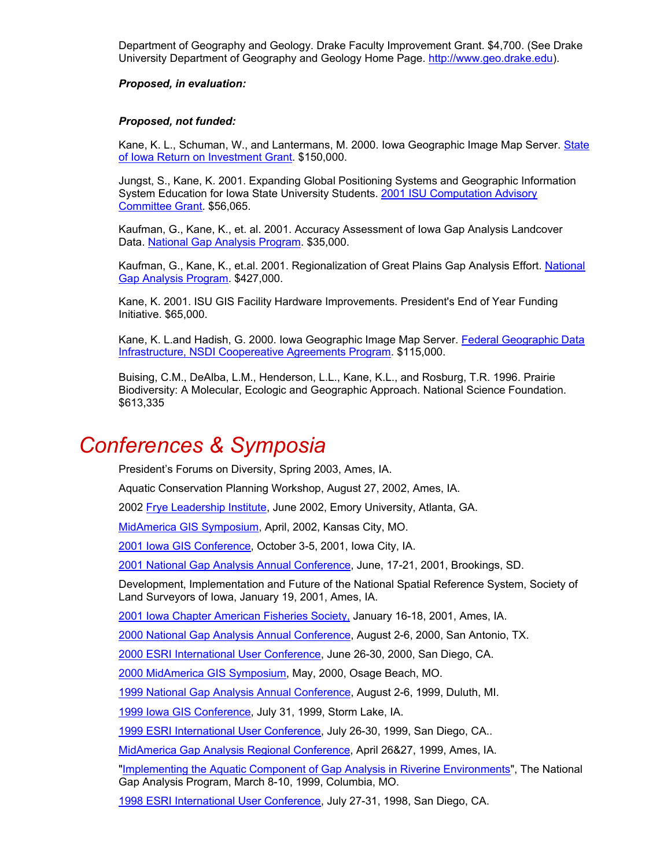Department of Geography and Geology. Drake Faculty Improvement Grant. \$4,700. (See Drake University Department of Geography and Geology Home Page. [http://www.geo.drake.edu\)](http://www.geo.drake.edu/).

### *Proposed, in evaluation:*

### *Proposed, not funded:*

Kane, K. L., Schuman, W., and Lantermans, M. 2000. Iowa Geographic Image Map Server. [State](http://www2.info.state.ia.us/roi/detail_2002.asp?number=002FY02)  [of Iowa Return on Investment Grant.](http://www2.info.state.ia.us/roi/detail_2002.asp?number=002FY02) \$150,000.

Jungst, S., Kane, K. 2001. Expanding Global Positioning Systems and Geographic Information System Education for Iowa State University Students. [2001 ISU Computation Advisory](http://www.public.iastate.edu/%7Ecac_info/)  [Committee Grant.](http://www.public.iastate.edu/%7Ecac_info/) \$56,065.

Kaufman, G., Kane, K., et. al. 2001. Accuracy Assessment of Iowa Gap Analysis Landcover Data. [National Gap Analysis Program.](http://www.gap.uidaho.edu/) \$35,000.

Kaufman, G., Kane, K., et.al. 2001. Regionalization of Great Plains Gap Analysis Effort. [National](http://www.gap.uidaho.edu/)  [Gap Analysis Program](http://www.gap.uidaho.edu/). \$427,000.

Kane, K. 2001. ISU GIS Facility Hardware Improvements. President's End of Year Funding Initiative. \$65,000.

Kane, K. L.and Hadish, G. 2000. Iowa Geographic Image Map Server. [Federal Geographic Data](http://navigation.helper.realnames.com/framer/1/262/default.asp?realname=FGDC&url=http%3A//www.fgdc.gov/&frameid=1&providerid=262&uid=10237354)  [Infrastructure, NSDI Coopereative Agreements Program.](http://navigation.helper.realnames.com/framer/1/262/default.asp?realname=FGDC&url=http%3A//www.fgdc.gov/&frameid=1&providerid=262&uid=10237354) \$115,000.

Buising, C.M., DeAlba, L.M., Henderson, L.L., Kane, K.L., and Rosburg, T.R. 1996. Prairie Biodiversity: A Molecular, Ecologic and Geographic Approach. National Science Foundation. \$613,335

## *Conferences & Symposia*

President's Forums on Diversity, Spring 2003, Ames, IA.

Aquatic Conservation Planning Workshop, August 27, 2002, Ames, IA.

2002 [Frye Leadership Institute](http://www.fryeinstitute.org/), June 2002, Emory University, Atlanta, GA.

[MidAmerica GIS Symposium](http://magicweb.kgs.ukans.edu/magic/s2002/index.html), April, 2002, Kansas City, MO.

[2001 Iowa GIS Conference,](http://www.gis.state.ia.us/) October 3-5, 2001, Iowa City, IA.

[2001 National Gap Analysis Annual Conference](http://www.gap.uidaho.edu/Meetings/2001/default.htm), June, 17-21, 2001, Brookings, SD.

Development, Implementation and Future of the National Spatial Reference System, Society of Land Surveyors of Iowa, January 19, 2001, Ames, IA.

[2001 Iowa Chapter American Fisheries Society,](http://www.fisheries.org/) January 16-18, 2001, Ames, IA.

[2000 National Gap Analysis Annual Conference](http://www.gap.uidaho.edu/gap/), August 2-6, 2000, San Antonio, TX.

[2000 ESRI International User Conference,](http://www.esri.com/events/uc/index.html) June 26-30, 2000, San Diego, CA.

[2000 MidAmerica GIS Symposium](http://magicweb.kgs.ukans.edu/magic/magic_net.html), May, 2000, Osage Beach, MO.

[1999 National Gap Analysis Annual Conference](http://www.gap.uidaho.edu/gap/), August 2-6, 1999, Duluth, MI.

[1999 Iowa GIS Conference,](http://www.gis.state.ia.us/) July 31, 1999, Storm Lake, IA.

[1999 ESRI International User Conference,](http://www.esri.com/library/userconf/archive.html) July 26-30, 1999, San Diego, CA..

[MidAmerica Gap Analysis Regional Conference,](http://ulysses.unl.edu/midam/) April 26&27, 1999, Ames, IA.

"[Implementing the Aquatic Component of Gap Analysis in Riverine Environments"](http://www.cerc.usgs.gov/morap/projects/aquatic_gap/aquaticgap.htm), The National Gap Analysis Program, March 8-10, 1999, Columbia, MO.

[1998 ESRI International User Conference,](http://www.esri.com/library/userconf/archive.html) July 27-31, 1998, San Diego, CA.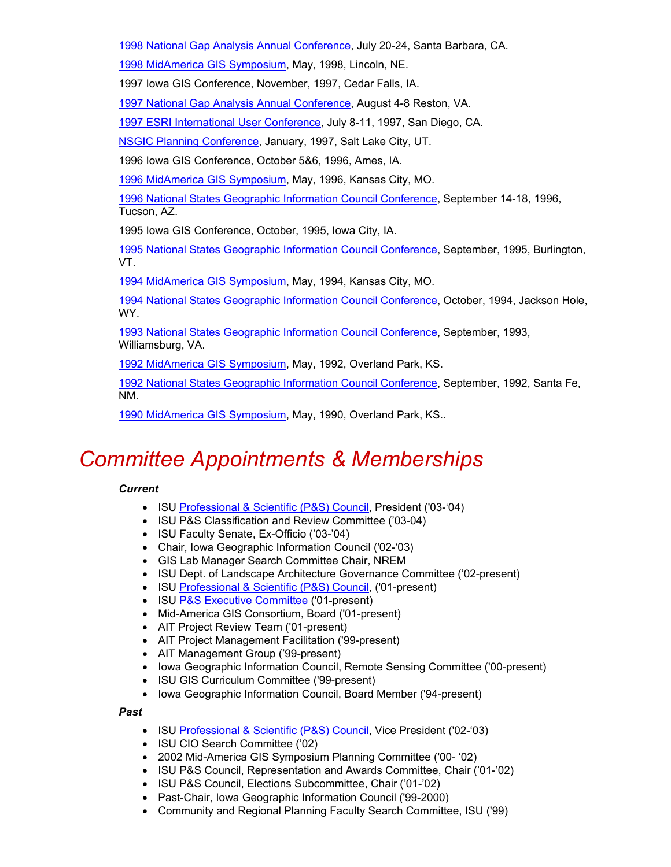[1998 National Gap Analysis Annual Conference](http://www.gap.uidaho.edu/gap/), July 20-24, Santa Barbara, CA.

[1998 MidAmerica GIS Symposium](http://msdis.missouri.edu/magic/), May, 1998, Lincoln, NE.

1997 Iowa GIS Conference, November, 1997, Cedar Falls, IA.

[1997 National Gap Analysis Annual Conference](http://www.gap.uidaho.edu/gap/), August 4-8 Reston, VA.

[1997 ESRI International User Conference,](http://www.esri.com/library/userconf/archive.html) July 8-11, 1997, San Diego, CA.

[NSGIC Planning Conference](http://www.nsgic.org/), January, 1997, Salt Lake City, UT.

1996 Iowa GIS Conference, October 5&6, 1996, Ames, IA.

[1996 MidAmerica GIS Symposium](http://msdis.missouri.edu/magic/), May, 1996, Kansas City, MO.

[1996 National States Geographic Information Council Conference](http://www.nsgic.org/), September 14-18, 1996, Tucson, AZ.

1995 Iowa GIS Conference, October, 1995, Iowa City, IA.

[1995 National States Geographic Information Council Conference](http://www.nsgic.org/), September, 1995, Burlington, VT.

[1994 MidAmerica GIS Symposium](http://msdis.missouri.edu/magic/), May, 1994, Kansas City, MO.

[1994 National States Geographic Information Council Conference](http://www.nsgic.org/), October, 1994, Jackson Hole, WY.

[1993 National States Geographic Information Council Conference](http://www.nsgic.org/), September, 1993, Williamsburg, VA.

[1992 MidAmerica GIS Symposium](http://msdis.missouri.edu/magic/), May, 1992, Overland Park, KS.

[1992 National States Geographic Information Council Conference](http://www.nsgic.org/), September, 1992, Santa Fe, NM.

[1990 MidAmerica GIS Symposium](http://msdis.missouri.edu/magic/), May, 1990, Overland Park, KS..

## *Committee Appointments & Memberships*

### *Current*

- ISU [Professional & Scientific \(P&S\) Council,](http://www.public.iastate.edu/%7Eps_info/) President ('03-'04)
- ISU P&S Classification and Review Committee ('03-04)
- ISU Faculty Senate, Ex-Officio ('03-'04)
- Chair, Iowa Geographic Information Council ('02-'03)
- GIS Lab Manager Search Committee Chair, NREM
- ISU Dept. of Landscape Architecture Governance Committee ('02-present)
- ISU [Professional & Scientific \(P&S\) Council,](http://www.public.iastate.edu/%7Eps_info/) ('01-present)
- ISU [P&S Executive Committee \(](http://www.public.iastate.edu/%7Eps_info/Profiles/ProfileKevinKane.htm)'01-present)
- Mid-America GIS Consortium, Board ('01-present)
- AIT Project Review Team ('01-present)
- AIT Project Management Facilitation ('99-present)
- AIT Management Group ('99-present)
- Iowa Geographic Information Council, Remote Sensing Committee ('00-present)
- ISU GIS Curriculum Committee ('99-present)
- Iowa Geographic Information Council, Board Member ('94-present)

*Past*

- ISU [Professional & Scientific \(P&S\) Council,](http://www.public.iastate.edu/%7Eps_info/) Vice President ('02-'03)
- ISU CIO Search Committee ('02)
- 2002 Mid-America GIS Symposium Planning Committee ('00- '02)
- ISU P&S Council, Representation and Awards Committee, Chair ('01-'02)
- ISU P&S Council, Elections Subcommittee, Chair ('01-'02)
- Past-Chair, Iowa Geographic Information Council ('99-2000)
- Community and Regional Planning Faculty Search Committee, ISU ('99)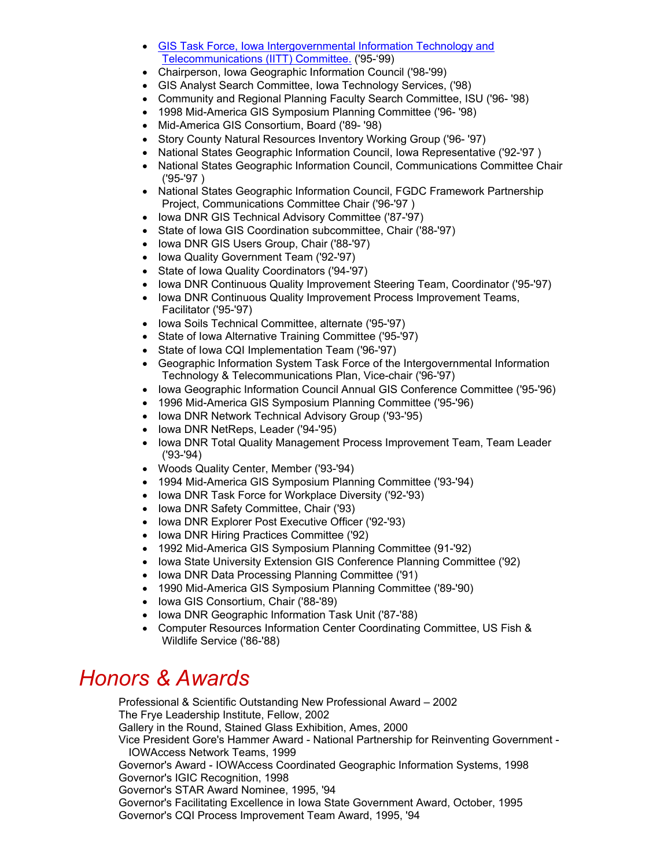- [GIS Task Force, Iowa Intergovernmental Information Technology and](http://www.state.ia.us/government/iitt/iowaccess/proj8.htm)  [Telecommunications \(IITT\) Committee.](http://www.state.ia.us/government/iitt/iowaccess/proj8.htm) ('95-'99)
- Chairperson, Iowa Geographic Information Council ('98-'99)
- GIS Analyst Search Committee, Iowa Technology Services, ('98)
- Community and Regional Planning Faculty Search Committee, ISU ('96- '98)
- 1998 Mid-America GIS Symposium Planning Committee ('96- '98)
- Mid-America GIS Consortium, Board ('89- '98)
- Story County Natural Resources Inventory Working Group ('96- '97)
- National States Geographic Information Council, Iowa Representative ('92-'97 )
- National States Geographic Information Council, Communications Committee Chair ('95-'97 )
- National States Geographic Information Council, FGDC Framework Partnership Project, Communications Committee Chair ('96-'97 )
- Iowa DNR GIS Technical Advisory Committee ('87-'97)
- State of Iowa GIS Coordination subcommittee, Chair ('88-'97)
- Iowa DNR GIS Users Group, Chair ('88-'97)
- Iowa Quality Government Team ('92-'97)
- State of Iowa Quality Coordinators ('94-'97)
- Iowa DNR Continuous Quality Improvement Steering Team, Coordinator ('95-'97)
- Iowa DNR Continuous Quality Improvement Process Improvement Teams, Facilitator ('95-'97)
- Iowa Soils Technical Committee, alternate ('95-'97)
- State of Iowa Alternative Training Committee ('95-'97)
- State of Iowa CQI Implementation Team ('96-'97)
- Geographic Information System Task Force of the Intergovernmental Information Technology & Telecommunications Plan, Vice-chair ('96-'97)
- Iowa Geographic Information Council Annual GIS Conference Committee ('95-'96)
- 1996 Mid-America GIS Symposium Planning Committee ('95-'96)
- Iowa DNR Network Technical Advisory Group ('93-'95)
- Iowa DNR NetReps, Leader ('94-'95)
- Iowa DNR Total Quality Management Process Improvement Team, Team Leader ('93-'94)
- Woods Quality Center, Member ('93-'94)
- 1994 Mid-America GIS Symposium Planning Committee ('93-'94)
- Iowa DNR Task Force for Workplace Diversity ('92-'93)
- Iowa DNR Safety Committee, Chair ('93)
- Iowa DNR Explorer Post Executive Officer ('92-'93)
- Iowa DNR Hiring Practices Committee ('92)
- 1992 Mid-America GIS Symposium Planning Committee (91-'92)
- Iowa State University Extension GIS Conference Planning Committee ('92)
- Iowa DNR Data Processing Planning Committee ('91)
- 1990 Mid-America GIS Symposium Planning Committee ('89-'90)
- Iowa GIS Consortium, Chair ('88-'89)
- Iowa DNR Geographic Information Task Unit ('87-'88)
- Computer Resources Information Center Coordinating Committee, US Fish & Wildlife Service ('86-'88)

## *Honors & Awards*

Professional & Scientific Outstanding New Professional Award – 2002 The Frye Leadership Institute, Fellow, 2002 Gallery in the Round, Stained Glass Exhibition, Ames, 2000 Vice President Gore's Hammer Award - National Partnership for Reinventing Government - IOWAccess Network Teams, 1999 Governor's Award - IOWAccess Coordinated Geographic Information Systems, 1998 Governor's IGIC Recognition, 1998 Governor's STAR Award Nominee, 1995, '94 Governor's Facilitating Excellence in Iowa State Government Award, October, 1995

Governor's CQI Process Improvement Team Award, 1995, '94